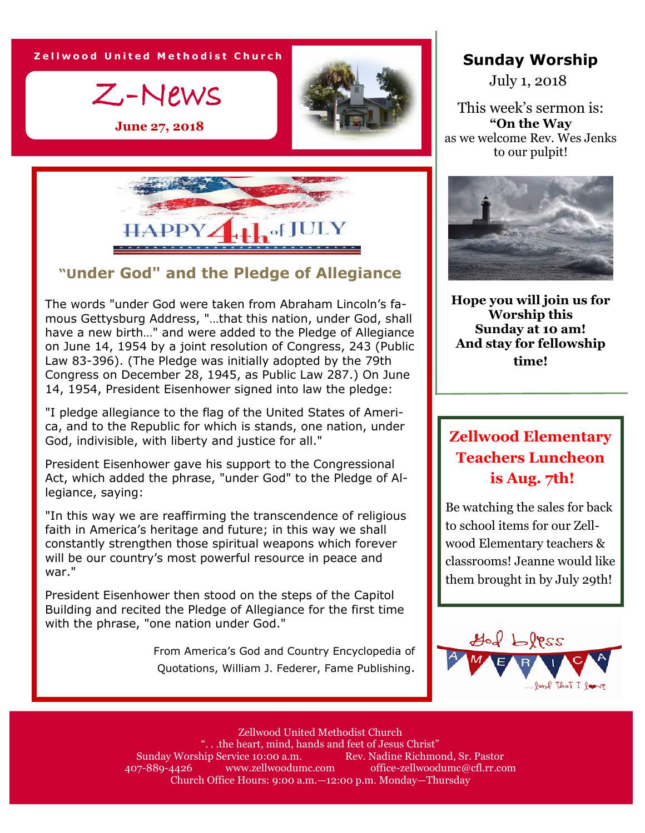**Z e l l w o o d U n i t e d M e t h o d i s t C h u r c h**

Z-News

**June 27, 2018**





#### **"Under God" and the Pledge of Allegiance**

The words "under God were taken from Abraham Lincoln's famous Gettysburg Address, "…that this nation, under God, shall have a new birth…" and were added to the Pledge of Allegiance on June 14, 1954 by a joint resolution of Congress, 243 (Public Law 83-396). (The Pledge was initially adopted by the 79th Congress on December 28, 1945, as Public Law 287.) On June 14, 1954, President Eisenhower signed into law the pledge:

"I pledge allegiance to the flag of the United States of America, and to the Republic for which is stands, one nation, under God, indivisible, with liberty and justice for all."

President Eisenhower gave his support to the Congressional Act, which added the phrase, "under God" to the Pledge of Allegiance, saying:

"In this way we are reaffirming the transcendence of religious faith in America's heritage and future; in this way we shall constantly strengthen those spiritual weapons which forever will be our country's most powerful resource in peace and war."

President Eisenhower then stood on the steps of the Capitol Building and recited the Pledge of Allegiance for the first time with the phrase, "one nation under God."

> From America's God and Country Encyclopedia of Quotations, William J. Federer, Fame Publishing.

#### **Sunday Worship**

July 1, 2018

This week's sermon is: **"On the Way** as we welcome Rev. Wes Jenks to our pulpit!



**Hope you will join us for Worship this Sunday at 10 am! And stay for fellowship time!**

# **Zellwood Elementary Teachers Luncheon is Aug. 7th!**

Be watching the sales for back to school items for our Zellwood Elementary teachers & classrooms! Jeanne would like them brought in by July 29th!



Zellwood United Methodist Church ". . .the heart, mind, hands and feet of Jesus Christ" Sunday Worship Service 10:00 a.m. Rev. Nadine Richmond, Sr. Pastor 407-889-4426 www.zellwoodumc.com office-zellwoodumc@cfl.rr.com Church Office Hours: 9:00 a.m.—12:00 p.m. Monday—Thursday